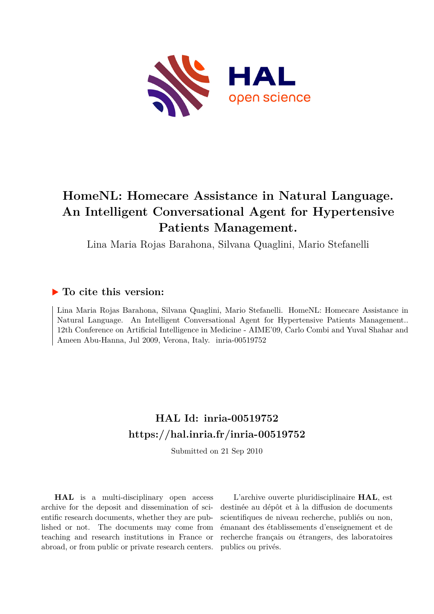

# **HomeNL: Homecare Assistance in Natural Language. An Intelligent Conversational Agent for Hypertensive Patients Management.**

Lina Maria Rojas Barahona, Silvana Quaglini, Mario Stefanelli

### **To cite this version:**

Lina Maria Rojas Barahona, Silvana Quaglini, Mario Stefanelli. HomeNL: Homecare Assistance in Natural Language. An Intelligent Conversational Agent for Hypertensive Patients Management.. 12th Conference on Artificial Intelligence in Medicine - AIME'09, Carlo Combi and Yuval Shahar and Ameen Abu-Hanna, Jul 2009, Verona, Italy. inria-00519752

## **HAL Id: inria-00519752 <https://hal.inria.fr/inria-00519752>**

Submitted on 21 Sep 2010

**HAL** is a multi-disciplinary open access archive for the deposit and dissemination of scientific research documents, whether they are published or not. The documents may come from teaching and research institutions in France or abroad, or from public or private research centers.

L'archive ouverte pluridisciplinaire **HAL**, est destinée au dépôt et à la diffusion de documents scientifiques de niveau recherche, publiés ou non, émanant des établissements d'enseignement et de recherche français ou étrangers, des laboratoires publics ou privés.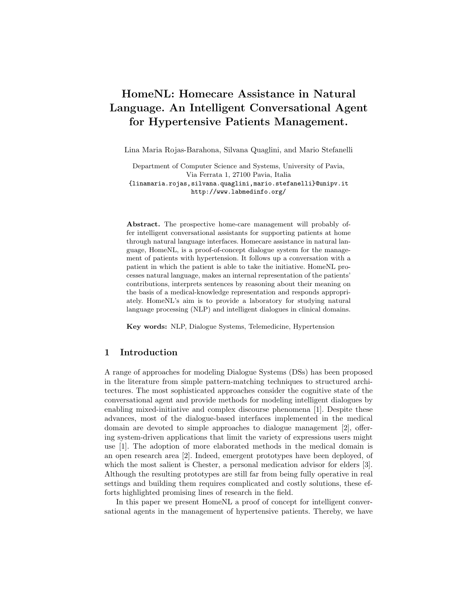## HomeNL: Homecare Assistance in Natural Language. An Intelligent Conversational Agent for Hypertensive Patients Management.

Lina Maria Rojas-Barahona, Silvana Quaglini, and Mario Stefanelli

Department of Computer Science and Systems, University of Pavia, Via Ferrata 1, 27100 Pavia, Italia {linamaria.rojas,silvana.quaglini,mario.stefanelli}@unipv.it http://www.labmedinfo.org/

Abstract. The prospective home-care management will probably offer intelligent conversational assistants for supporting patients at home through natural language interfaces. Homecare assistance in natural language, HomeNL, is a proof-of-concept dialogue system for the management of patients with hypertension. It follows up a conversation with a patient in which the patient is able to take the initiative. HomeNL processes natural language, makes an internal representation of the patients' contributions, interprets sentences by reasoning about their meaning on the basis of a medical-knowledge representation and responds appropriately. HomeNL's aim is to provide a laboratory for studying natural language processing (NLP) and intelligent dialogues in clinical domains.

Key words: NLP, Dialogue Systems, Telemedicine, Hypertension

#### 1 Introduction

A range of approaches for modeling Dialogue Systems (DSs) has been proposed in the literature from simple pattern-matching techniques to structured architectures. The most sophisticated approaches consider the cognitive state of the conversational agent and provide methods for modeling intelligent dialogues by enabling mixed-initiative and complex discourse phenomena [1]. Despite these advances, most of the dialogue-based interfaces implemented in the medical domain are devoted to simple approaches to dialogue management [2], offering system-driven applications that limit the variety of expressions users might use [1]. The adoption of more elaborated methods in the medical domain is an open research area [2]. Indeed, emergent prototypes have been deployed, of which the most salient is Chester, a personal medication advisor for elders [3]. Although the resulting prototypes are still far from being fully operative in real settings and building them requires complicated and costly solutions, these efforts highlighted promising lines of research in the field.

In this paper we present HomeNL a proof of concept for intelligent conversational agents in the management of hypertensive patients. Thereby, we have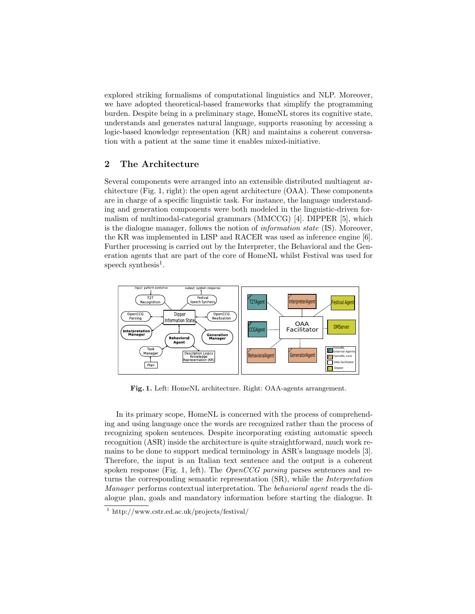explored striking formalisms of computational linguistics and NLP. Moreover, we have adopted theoretical-based frameworks that simplify the programming burden. Despite being in a preliminary stage, HomeNL stores its cognitive state, understands and generates natural language, supports reasoning by accessing a logic-based knowledge representation (KR) and maintains a coherent conversation with a patient at the same time it enables mixed-initiative.

#### 2 The Architecture

Several components were arranged into an extensible distributed multiagent architecture (Fig. 1, right): the open agent architecture (OAA). These components are in charge of a specific linguistic task. For instance, the language understanding and generation components were both modeled in the linguistic-driven formalism of multimodal-categorial grammars (MMCCG) [4]. DIPPER [5], which is the dialogue manager, follows the notion of information state (IS). Moreover, the KR was implemented in LISP and RACER was used as inference engine [6]. Further processing is carried out by the Interpreter, the Behavioral and the Generation agents that are part of the core of HomeNL whilst Festival was used for speech synthesis<sup>1</sup>.



Fig. 1. Left: HomeNL architecture. Right: OAA-agents arrangement.

In its primary scope, HomeNL is concerned with the process of comprehending and using language once the words are recognized rather than the process of recognizing spoken sentences. Despite incorporating existing automatic speech recognition (ASR) inside the architecture is quite straightforward, much work remains to be done to support medical terminology in ASR's language models [3]. Therefore, the input is an Italian text sentence and the output is a coherent spoken response (Fig. 1, left). The *OpenCCG parsing* parses sentences and returns the corresponding semantic representation (SR), while the Interpretation Manager performs contextual interpretation. The behavioral agent reads the dialogue plan, goals and mandatory information before starting the dialogue. It

<sup>1</sup> http://www.cstr.ed.ac.uk/projects/festival/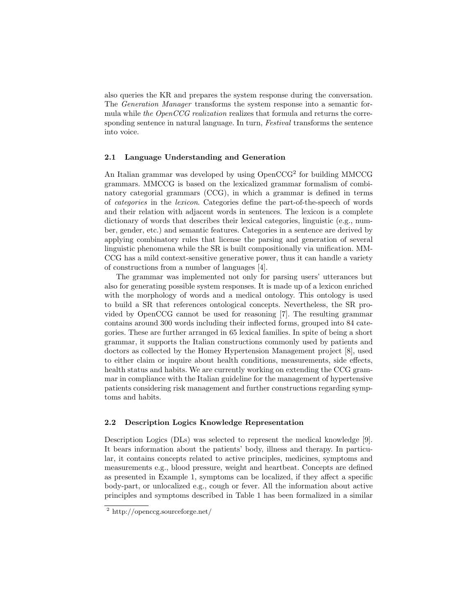also queries the KR and prepares the system response during the conversation. The Generation Manager transforms the system response into a semantic formula while the OpenCCG realization realizes that formula and returns the corresponding sentence in natural language. In turn, Festival transforms the sentence into voice.

#### 2.1 Language Understanding and Generation

An Italian grammar was developed by using OpenCCG<sup>2</sup> for building MMCCG grammars. MMCCG is based on the lexicalized grammar formalism of combinatory categorial grammars (CCG), in which a grammar is defined in terms of categories in the lexicon. Categories define the part-of-the-speech of words and their relation with adjacent words in sentences. The lexicon is a complete dictionary of words that describes their lexical categories, linguistic (e.g., number, gender, etc.) and semantic features. Categories in a sentence are derived by applying combinatory rules that license the parsing and generation of several linguistic phenomena while the SR is built compositionally via unification. MM-CCG has a mild context-sensitive generative power, thus it can handle a variety of constructions from a number of languages [4].

The grammar was implemented not only for parsing users' utterances but also for generating possible system responses. It is made up of a lexicon enriched with the morphology of words and a medical ontology. This ontology is used to build a SR that references ontological concepts. Nevertheless, the SR provided by OpenCCG cannot be used for reasoning [7]. The resulting grammar contains around 300 words including their inflected forms, grouped into 84 categories. These are further arranged in 65 lexical families. In spite of being a short grammar, it supports the Italian constructions commonly used by patients and doctors as collected by the Homey Hypertension Management project [8], used to either claim or inquire about health conditions, measurements, side effects, health status and habits. We are currently working on extending the CCG grammar in compliance with the Italian guideline for the management of hypertensive patients considering risk management and further constructions regarding symptoms and habits.

#### 2.2 Description Logics Knowledge Representation

Description Logics (DLs) was selected to represent the medical knowledge [9]. It bears information about the patients' body, illness and therapy. In particular, it contains concepts related to active principles, medicines, symptoms and measurements e.g., blood pressure, weight and heartbeat. Concepts are defined as presented in Example 1, symptoms can be localized, if they affect a specific body-part, or unlocalized e.g., cough or fever. All the information about active principles and symptoms described in Table 1 has been formalized in a similar

<sup>2</sup> http://openccg.sourceforge.net/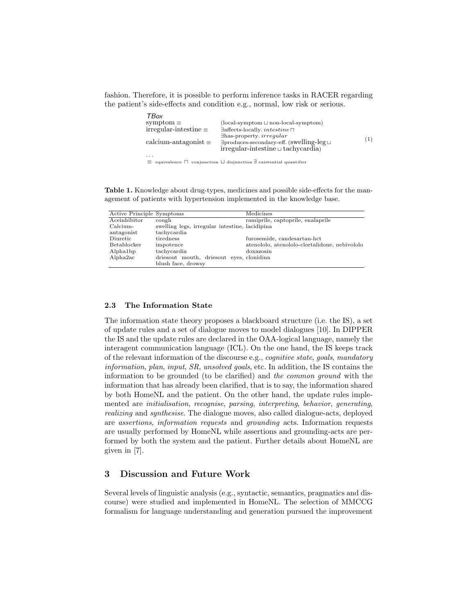fashion. Therefore, it is possible to perform inference tasks in RACER regarding the patient's side-effects and condition e.g., normal, low risk or serious.

| TBox                           |                                                                                             |     |
|--------------------------------|---------------------------------------------------------------------------------------------|-----|
| symptom $\equiv$               | $(local-symptom \sqcup non-local-symptom)$                                                  |     |
| $irregular-intestimate \equiv$ | $\exists$ affects-locally. intestine $\sqcap$                                               |     |
|                                | $\exists$ has-property. <i>irregular</i>                                                    |     |
| calcium-antagonist $\equiv$    | $\exists$ produces-secondary-eff. (Swelling-leg $\sqcup$                                    | (1) |
|                                | $irregular-intestimate \sqcup tachycardia$                                                  |     |
| $\cdot$ $\cdot$ $\cdot$        |                                                                                             |     |
|                                | $\equiv$ equivalence $\Box$ conjunction $\Box$ disjunction $\exists$ existential quantifier |     |

Table 1. Knowledge about drug-types, medicines and possible side-effects for the management of patients with hypertension implemented in the knowledge base.

| Active Principle Symptoms |                                                | Medicines                                     |
|---------------------------|------------------------------------------------|-----------------------------------------------|
| Aceinhibitor              | cough                                          | ramiprile, captoprile, enalaprile             |
| Calcium-                  | swelling legs, irregular intestine, lacidipina |                                               |
| antagonist                | tachycardia                                    |                                               |
| Diuretic                  | tiredness                                      | furosemide, candesartan-hct                   |
| Betablocker               | impotence                                      | atenololo, atenololo-clortalidone, nebivololo |
| Alpha1bp                  | tachycardia                                    | doxazosin                                     |
| Alpha2ac                  | driesout mouth, driesout eyes, clonidina       |                                               |
|                           | blush face, drowsy                             |                                               |

#### 2.3 The Information State

The information state theory proposes a blackboard structure (i.e. the IS), a set of update rules and a set of dialogue moves to model dialogues [10]. In DIPPER the IS and the update rules are declared in the OAA-logical language, namely the interagent communication language (ICL). On the one hand, the IS keeps track of the relevant information of the discourse e.g., cognitive state, goals, mandatory information, plan, input, SR, unsolved goals, etc. In addition, the IS contains the information to be grounded (to be clarified) and the common ground with the information that has already been clarified, that is to say, the information shared by both HomeNL and the patient. On the other hand, the update rules implemented are initialisation, recognise, parsing, interpreting, behavior, generating, realizing and synthesise. The dialogue moves, also called dialogue-acts, deployed are assertions, information requests and grounding acts. Information requests are usually performed by HomeNL while assertions and grounding-acts are performed by both the system and the patient. Further details about HomeNL are given in [7].

#### 3 Discussion and Future Work

Several levels of linguistic analysis (e.g., syntactic, semantics, pragmatics and discourse) were studied and implemented in HomeNL. The selection of MMCCG formalism for language understanding and generation pursued the improvement